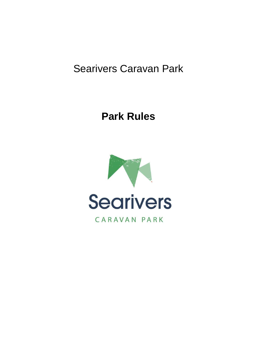# Searivers Caravan Park

# **Park Rules**

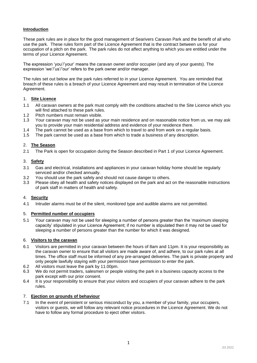# **Introduction**

These park rules are in place for the good management of Searivers Caravan Park and the benefit of all who use the park. These rules form part of the Licence Agreement that is the contract between us for your occupation of a pitch on the park. The park rules do not affect anything to which you are entitled under the terms of your Licence Agreement.

The expression 'you'/'your' means the caravan owner and/or occupier (and any of your guests). The expression 'we'/'us'/'our' refers to the park owner and/or manager.

The rules set out below are the park rules referred to in your Licence Agreement. You are reminded that breach of these rules is a breach of your Licence Agreement and may result in termination of the Licence Agreement.

## 1. **Site Licence**

- 1.1 All caravan owners at the park must comply with the conditions attached to the Site Licence which you will find attached to these park rules.
- 1.2 Pitch numbers must remain visible.
- 1.3 Your caravan may not be used as your main residence and on reasonable notice from us, we may ask you to provide your main residential address and evidence of your residence there.
- 1.4 The park cannot be used as a base from which to travel to and from work on a regular basis.<br>1.5 The park cannot be used as a base from which to trade a business of any description
- The park cannot be used as a base from which to trade a business of any description.

## 2. **The Season**

2.1 The Park is open for occupation during the Season described in Part 1 of your Licence Agreement.

#### 3. **Safety**

- 3.1 Gas and electrical, installations and appliances in your caravan holiday home should be regularly serviced and/or checked annually.
- 3.2 You should use the park safely and should not cause danger to others.
- 3.3 Please obey all health and safety notices displayed on the park and act on the reasonable instructions of park staff in matters of health and safety.

#### 4. **Security**

4.1 Intruder alarms must be of the silent, monitored type and audible alarms are not permitted.

#### 5. **Permitted number of occupiers**

5.1 Your caravan may not be used for sleeping a number of persons greater than the 'maximum sleeping capacity' stipulated in your Licence Agreement; if no number is stipulated then it may not be used for sleeping a number of persons greater than the number for which it was designed.

## 6. **Visitors to the caravan**

- 6.1 Visitors are permitted in your caravan between the hours of 8am and 11pm. It is your responsibility as the caravan owner to ensure that all visitors are made aware of, and adhere, to our park rules at all times. The office staff must be informed of any pre-arranged deliveries. The park is private property and only people lawfully staying with your permission have permission to enter the park.
- 6.2 All visitors must leave the park by 11.00pm.
- 6.3 We do not permit traders, salesmen or people visiting the park in a business capacity access to the park except with our prior consent.
- 6.4 It is your responsibility to ensure that your visitors and occupiers of your caravan adhere to the park rules.

#### 7. **Ejection on grounds of behaviour**

7.1 In the event of persistent or serious misconduct by you, a member of your family, your occupiers, visitors or guests, we will follow any relevant notice procedures in the Licence Agreement. We do not have to follow any formal procedure to eject other visitors.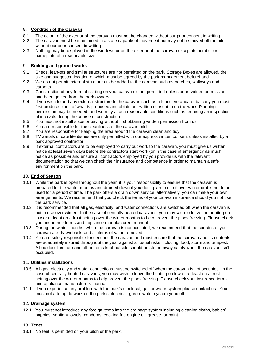# 8. **Condition of the Caravan**

- 8.1 The colour of the exterior of the caravan must not be changed without our prior consent in writing.
- 8.2 The caravan must be maintained in a state capable of movement but may not be moved off the pitch without our prior consent in writing.
- 8.3 Nothing may be displayed in the windows or on the exterior of the caravan except its number or nameplate of a reasonable size.

# 9. **Building and ground works**

- 9.1 Sheds, lean-tos and similar structures are not permitted on the park. Storage Boxes are allowed, the size and suggested location of which must be agreed by the park management beforehand.
- 9.2 We do not permit external structures to be added to the caravan such as porches, walkways and carports.
- 9.3 Construction of any form of skirting on your caravan is not permitted unless prior, written permission had been gained from the park owners.
- 9.4 If you wish to add any external structure to the caravan such as a fence, veranda or balcony you must first produce plans of what is proposed and obtain our written consent to do the work. Planning permission may be needed, and we may attach reasonable conditions such as requiring an inspection at intervals during the course of construction.
- 9.5 You must not install slabs or paving without first obtaining written permission from us.
- 9.6 You are responsible for the cleanliness of the caravan pitch.
- 9.7 You are responsible for keeping the area around the caravan clean and tidy.
- 9.8 TV aerials or satellite dishes are only permitted with our express written consent unless installed by a park approved contractor.
- 9.9 If external contractors are to be employed to carry out work to the caravan, you must give us written notice at least seven days before the contractors start work (or in the case of emergency as much notice as possible) and ensure all contractors employed by you provide us with the relevant documentation so that we can check their insurance and competence in order to maintain a safe environment on the park.

# 10. **End of Season**

- 10.1 While the park is open throughout the year, it is your responsibility to ensure that the caravan is prepared for the winter months and drained down if you don't plan to use it over winter or it is not to be used for a period of time. The park offers a drain down service, alternatively, you can make your own arrangements. We recommend that you check the terms of your caravan insurance should you not use the park service.
- 10.2 It is recommended that all gas, electricity, and water connections are switched off when the caravan is not in use over winter. In the case of centrally heated caravans, you may wish to leave the heating on low or at least on a frost setting over the winter months to help prevent the pipes freezing. Please check your insurance terms and appliance manufacturers manual.
- 10.3 During the winter months, when the caravan is not occupied, we recommend that the curtains of your caravan are drawn back, and all items of value removed.
- 10.4 You are solely responsible for securing the caravan and must ensure that the caravan and its contents are adequately insured throughout the year against all usual risks including flood, storm and tempest. All outdoor furniture and other items kept outside should be stored away safely when the caravan isn't occupied.

## 11. **Utilities installations**

- 10.5 All gas, electricity and water connections must be switched off when the caravan is not occupied. In the case of centrally heated caravans, you may wish to leave the heating on low or at least on a frost setting over the winter months to help prevent the pipes freezing. Please check your insurance terms and appliance manufacturers manual.
- 11.1 If you experience any problem with the park's electrical, gas or water system please contact us. You must not attempt to work on the park's electrical, gas or water system yourself.

## 12. **Drainage system**

12.1 You must not introduce any foreign items into the drainage system including cleaning cloths, babies' nappies, sanitary towels, condoms, cooking fat, engine oil, grease, or paint.

# 13. **Tents**

13.1 No tent is permitted on your pitch or the park.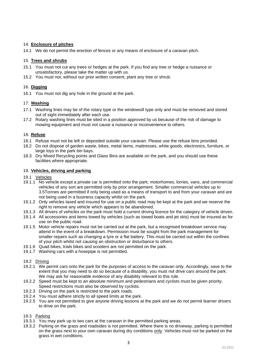# 14. **Enclosure of pitches**

14.1 We do not permit the erection of fences or any means of enclosure of a caravan pitch.

# 15. **Trees and shrubs**

- 15.1 You must not cut any trees or hedges at the park. If you find any tree or hedge a nuisance or unsatisfactory, please take the matter up with us.
- 15.2 You must not, without our prior written consent, plant any tree or shrub.

# 16. **Digging**

16.1 You must not dig any hole in the ground at the park.

# 17. **Washing**

- 17.1 Washing lines may be of the rotary type or the windowsill type only and must be removed and stored out of sight immediately after each use.
- 17.2 Rotary washing lines must be sited in a position approved by us because of the risk of damage to mowing equipment and must not cause a nuisance or inconvenience to others.

# 18. **Refuse**

- 18.1 Refuse must not be left or deposited outside your caravan. Please use the refuse bins provided.
- 18.2 Do not dispose of garden waste, bikes, metal items, mattresses, white goods, electronics, furniture, or large toys in the park bin bays.
- 18.3 Dry Mixed Recycling points and Glass Bins are available on the park, and you should use these facilities where appropriate.

## 19. **Vehicles, driving and parking**

- 19.1 Vehicles
- 19.1.1 No vehicle except a private car is permitted onto the park; motorhomes, lorries, vans, and commercial vehicles of any sort are permitted only by prior arrangement. Smaller commercial vehicles up to 3.5Tonnes are permitted if only being used as a means of transport to and from your caravan and are not being used in a business capacity whilst on the park.
- 19.1.2 Only vehicles taxed and insured for use on a public road may be kept at the park and we reserve the right to remove any vehicle which appears to be abandoned.
- 19.1.3 All drivers of vehicles on the park must hold a current driving licence for the category of vehicle driven.
- 19.1.4 All accessories and items towed by vehicles (such as towed boats and jet skis) must be insured as for use on the public road.
- 19.1.5 Motor vehicle repairs must not be carried out at the park, but a recognised breakdown service may attend in the event of a breakdown. Permission must be sought from the park management for smaller repairs such as changing a tyre or a flat battery. This must be carried out within the confines of your pitch whilst not causing an obstruction or disturbance to others.
- 19.1.6 Quad bikes, trials bikes and scooters are not permitted on the park.
- 19.1.7 Washing cars with a hosepipe is not permitted.

## 19.2 Driving

- 19.2.1 We permit cars onto the park for the purposes of access to the caravan only. Accordingly, save to the extent that you may need to do so because of a disability, you must not drive cars around the park. We may ask for reasonable evidence of any disability relevant to this rule.
- 19.2.2 Speed must be kept to an absolute minimum and pedestrians and cyclists must be given priority. Speed restrictions must also be observed by cyclists.
- 19.2.3 Driving on the park is restricted to the park roads.
- 19.2.4 You must adhere strictly to all speed limits at the park.
- 19.2.5 You are not permitted to give anyone driving lessons at the park and we do not permit learner drivers to drive on the park.

## 19.3 Parking

- 19.3.1 You may park up to two cars at the caravan in the permitted parking areas.
- 19.3.2 Parking on the grass and roadsides is not permitted. Where there is no driveway, parking is permitted on the grass next to your own caravan during dry conditions only. Vehicles must not be parked on the grass in wet conditions.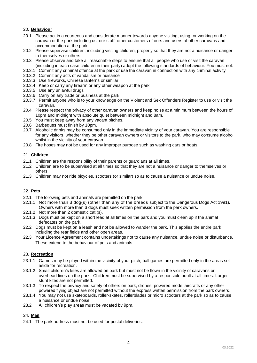# 20. **Behaviour**

- 20.1 Please act in a courteous and considerate manner towards anyone visiting, using, or working on the caravan or the park including us, our staff, other customers of ours and users of other caravans and accommodation at the park.
- 20.2 Please supervise children, including visiting children, properly so that they are not a nuisance or danger to themselves or others.
- 20.3 Please observe and take all reasonable steps to ensure that all people who use or visit the caravan (including in each case children in their party) adopt the following standards of behaviour. You must not:
- 20.3.1 Commit any criminal offence at the park or use the caravan in connection with any criminal activity
- 20.3.2 Commit any acts of vandalism or nuisance
- 20.3.3 Use fireworks, Chinese lanterns or similar
- 20.3.4 Keep or carry any firearm or any other weapon at the park
- 20.3.5 Use any unlawful drugs
- 20.3.6 Carry on any trade or business at the park
- 20.3.7 Permit anyone who is to your knowledge on the Violent and Sex Offenders Register to use or visit the caravan.
- 20.4 Please respect the privacy of other caravan owners and keep noise at a minimum between the hours of 10pm and midnight with absolute quiet between midnight and 8am.
- 20.5 You must keep away from any vacant pitches.
- 20.6 Barbeques must finish by 10pm.
- 20.7 Alcoholic drinks may be consumed only in the immediate vicinity of your caravan. You are responsible for any visitors, whether they be other caravan owners or visitors to the park, who may consume alcohol whilst in the vicinity of your caravan.
- 20.8 Fire hoses may not be used for any improper purpose such as washing cars or boats.

## 21. **Children**

- 21.1 Children are the responsibility of their parents or guardians at all times.
- 21.2 Children are to be supervised at all times so that they are not a nuisance or danger to themselves or others.
- 21.3 Children may not ride bicycles, scooters (or similar) so as to cause a nuisance or undue noise.

# 22. **Pets**

- 22.1 The following pets and animals are permitted on the park:
- 22.1.1 Not more than 3 dog(s) (other than any of the breeds subject to the Dangerous Dogs Act 1991). Owners with more than 3 dogs must seek written permission from the park owners.
- 22.1.2 Not more than 2 domestic cat (s).
- 22.1.3 Dogs must be kept on a short lead at all times on the park and you must clean up if the animal defecates on the park.
- 22.2 Dogs must be kept on a leash and not be allowed to wander the park. This applies the entire park including the rear fields and other open areas.
- 22.3 Your Licence Agreement contains undertakings not to cause any nuisance, undue noise or disturbance. These extend to the behaviour of pets and animals.

## 23. **Recreation**

- 23.1.1 Games may be played within the vicinity of your pitch; ball games are permitted only in the areas set aside for recreation.
- 23.1.2 Small children's kites are allowed on park but must not be flown in the vicinity of caravans or overhead lines on the park. Children must be supervised by a responsible adult at all times. Larger stunt kites are not permitted.
- 23.1.3 To respect the privacy and safety of others on park, drones, powered model aircrafts or any other powered flying object are not permitted without the express written permission from the park owners.
- 23.1.4 You may not use skateboards, roller-skates, rollerblades or micro scooters at the park so as to cause a nuisance or undue noise.
- 23.2 All children's play areas must be vacated by 9pm.

## 24. **Mail**

24.1 The park address must not be used for postal deliveries.